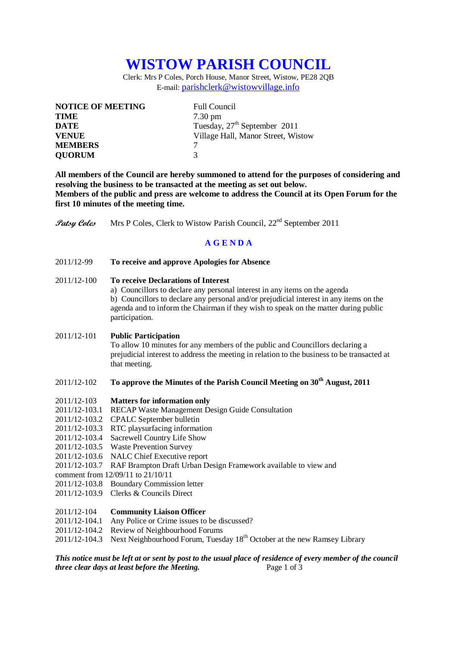# **WISTOW PARISH COUNCIL**

Clerk: Mrs P Coles, Porch House, Manor Street, Wistow, PE28 2QB E-mail: [parishclerk@wistowvillage.info](mailto:parishclerk@wistowvillage.info)

| <b>NOTICE OF MEETING</b> | <b>Full Council</b>                      |
|--------------------------|------------------------------------------|
| <b>TIME</b>              | $7.30 \text{ pm}$                        |
| DATE                     | Tuesday, 27 <sup>th</sup> September 2011 |
| <b>VENUE</b>             | Village Hall, Manor Street, Wistow       |
| <b>MEMBERS</b>           |                                          |
| <b>QUORUM</b>            | $\mathbf 3$                              |

**All members of the Council are hereby summoned to attend for the purposes of considering and resolving the business to be transacted at the meeting as set out below. Members of the public and press are welcome to address the Council at its Open Forum for the first 10 minutes of the meeting time.**

**Patsy Coles** Mrs P Coles, Clerk to Wistow Parish Council, 22<sup>nd</sup> September 2011

# **A G E N D A**

2011/12-99 **To receive and approve Apologies for Absence**

# 2011/12-100 **To receive Declarations of Interest**

a) Councillors to declare any personal interest in any items on the agenda b) Councillors to declare any personal and/or prejudicial interest in any items on the agenda and to inform the Chairman if they wish to speak on the matter during public participation.

#### 2011/12-101 **Public Participation**

To allow 10 minutes for any members of the public and Councillors declaring a prejudicial interest to address the meeting in relation to the business to be transacted at that meeting.

# 2011/12-102 **To approve the Minutes of the Parish Council Meeting on 30th August, 2011**

- 2011/12-103 **Matters for information only**
- 2011/12-103.1 RECAP Waste Management Design Guide Consultation
- 2011/12-103.2 CPALC September bulletin
- 2011/12-103.3 RTC playsurfacing information
- 2011/12-103.4 Sacrewell Country Life Show
- 2011/12-103.5 Waste Prevention Survey
- 2011/12-103.6 NALC Chief Executive report
- 2011/12-103.7 RAF Brampton Draft Urban Design Framework available to view and
- comment from 12/09/11 to 21/10/11
- 2011/12-103.8 Boundary Commission letter
- 2011/12-103.9 Clerks & Councils Direct

## 2011/12-104 **Community Liaison Officer**

- 2011/12-104.1 Any Police or Crime issues to be discussed?
- 2011/12-104.2 Review of Neighbourhood Forums
- $2011/12-104.3$  Next Neighbourhood Forum, Tuesday  $18<sup>th</sup>$  October at the new Ramsey Library

# *This notice must be left at or sent by post to the usual place of residence of every member of the council three clear days at least before the Meeting.* Page 1 of 3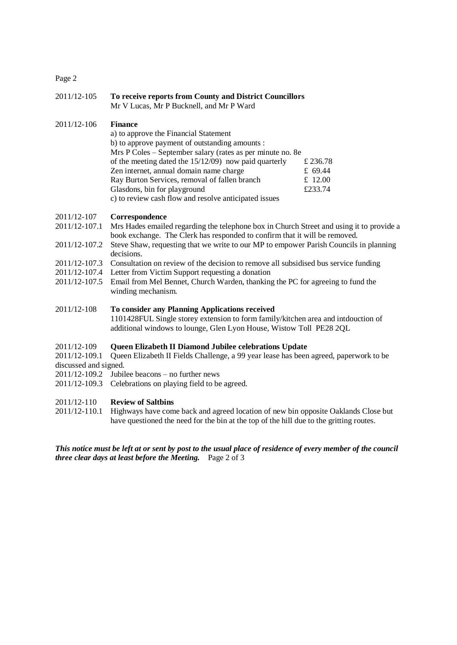# Page 2

# 2011/12-105 **To receive reports from County and District Councillors** Mr V Lucas, Mr P Bucknell, and Mr P Ward

#### 2011/12-106 **Finance**

| a) to approve the Financial Statement                      |          |
|------------------------------------------------------------|----------|
| b) to approve payment of outstanding amounts :             |          |
| Mrs P Coles – September salary (rates as per minute no. 8e |          |
| of the meeting dated the $15/12/09$ now paid quarterly     | £ 236.78 |
| Zen internet, annual domain name charge                    | £ 69.44  |
| Ray Burton Services, removal of fallen branch              | £ 12.00  |
| Glasdons, bin for playground                               | £233.74  |
| c) to review cash flow and resolve anticipated issues      |          |

#### 2011/12-107 **Correspondence**

- 2011/12-107.1 Mrs Hades emailed regarding the telephone box in Church Street and using it to provide a book exchange. The Clerk has responded to confirm that it will be removed.
- 2011/12-107.2 Steve Shaw, requesting that we write to our MP to empower Parish Councils in planning decisions.
- 2011/12-107.3 Consultation on review of the decision to remove all subsidised bus service funding
- 2011/12-107.4 Letter from Victim Support requesting a donation
- 2011/12-107.5 Email from Mel Bennet, Church Warden, thanking the PC for agreeing to fund the winding mechanism.

# 2011/12-108 **To consider any Planning Applications received**

1101428FUL Single storey extension to form family/kitchen area and intdouction of additional windows to lounge, Glen Lyon House, Wistow Toll PE28 2QL

#### 2011/12-109 **Queen Elizabeth II Diamond Jubilee celebrations Update**

2011/12-109.1 Queen Elizabeth II Fields Challenge, a 99 year lease has been agreed, paperwork to be discussed and signed.

- 2011/12-109.2 Jubilee beacons no further news
- 2011/12-109.3 Celebrations on playing field to be agreed.

# 2011/12-110 **Review of Saltbins**

2011/12-110.1 Highways have come back and agreed location of new bin opposite Oaklands Close but have questioned the need for the bin at the top of the hill due to the gritting routes.

# *This notice must be left at or sent by post to the usual place of residence of every member of the council three clear days at least before the Meeting.* Page 2 of 3